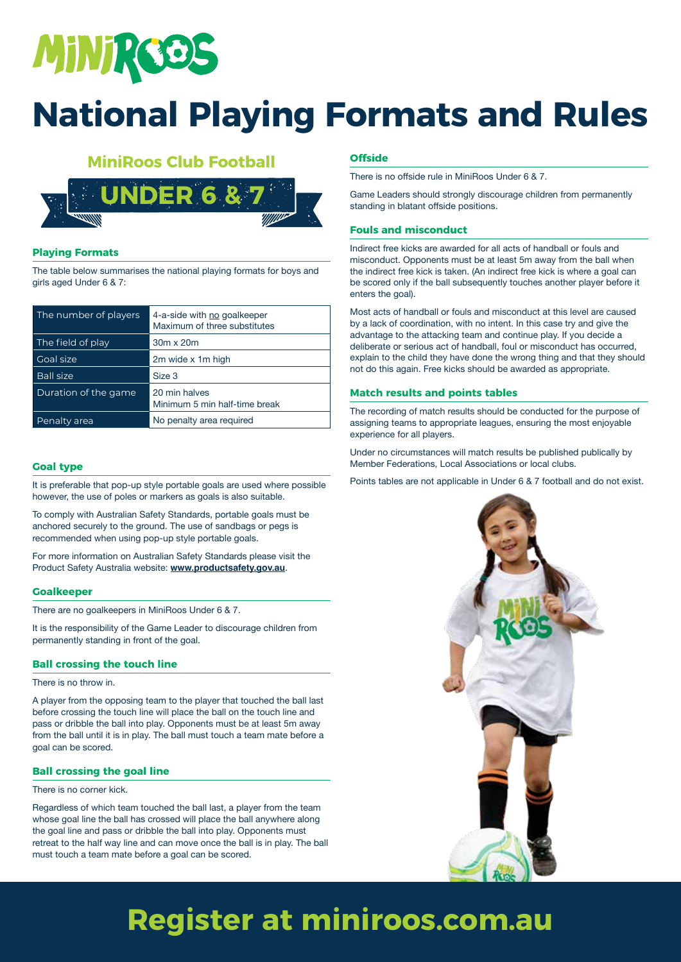

#### **MiniRoos Club Football**



#### **Playing Formats**

The table below summarises the national playing formats for boys and girls aged Under 6 & 7:

| The number of players | 4-a-side with no goalkeeper<br>Maximum of three substitutes |
|-----------------------|-------------------------------------------------------------|
| The field of play     | 30m x 20m                                                   |
| Goal size             | 2m wide x 1m high                                           |
| <b>Ball size</b>      | Size 3                                                      |
| Duration of the game  | 20 min halves<br>Minimum 5 min half-time break              |
| Penalty area          | No penalty area required                                    |

#### **Goal type**

It is preferable that pop-up style portable goals are used where possible however, the use of poles or markers as goals is also suitable.

To comply with Australian Safety Standards, portable goals must be anchored securely to the ground. The use of sandbags or pegs is recommended when using pop-up style portable goals.

For more information on Australian Safety Standards please visit the Product Safety Australia website: **www.productsafety.gov.au**.

#### **Goalkeeper**

There are no goalkeepers in MiniRoos Under 6 & 7.

It is the responsibility of the Game Leader to discourage children from permanently standing in front of the goal.

#### **Ball crossing the touch line**

There is no throw in.

A player from the opposing team to the player that touched the ball last before crossing the touch line will place the ball on the touch line and pass or dribble the ball into play. Opponents must be at least 5m away from the ball until it is in play. The ball must touch a team mate before a goal can be scored.

#### **Ball crossing the goal line**

#### There is no corner kick.

Regardless of which team touched the ball last, a player from the team whose goal line the ball has crossed will place the ball anywhere along the goal line and pass or dribble the ball into play. Opponents must retreat to the half way line and can move once the ball is in play. The ball must touch a team mate before a goal can be scored.

#### **Offside**

There is no offside rule in MiniRoos Under 6 & 7.

Game Leaders should strongly discourage children from permanently standing in blatant offside positions.

#### **Fouls and misconduct**

Indirect free kicks are awarded for all acts of handball or fouls and misconduct. Opponents must be at least 5m away from the ball when the indirect free kick is taken. (An indirect free kick is where a goal can be scored only if the ball subsequently touches another player before it enters the goal).

Most acts of handball or fouls and misconduct at this level are caused by a lack of coordination, with no intent. In this case try and give the advantage to the attacking team and continue play. If you decide a deliberate or serious act of handball, foul or misconduct has occurred, explain to the child they have done the wrong thing and that they should not do this again. Free kicks should be awarded as appropriate.

#### **Match results and points tables**

The recording of match results should be conducted for the purpose of assigning teams to appropriate leagues, ensuring the most enjoyable experience for all players.

Under no circumstances will match results be published publically by Member Federations, Local Associations or local clubs.

Points tables are not applicable in Under 6 & 7 football and do not exist.



### **Register at miniroos.com.au**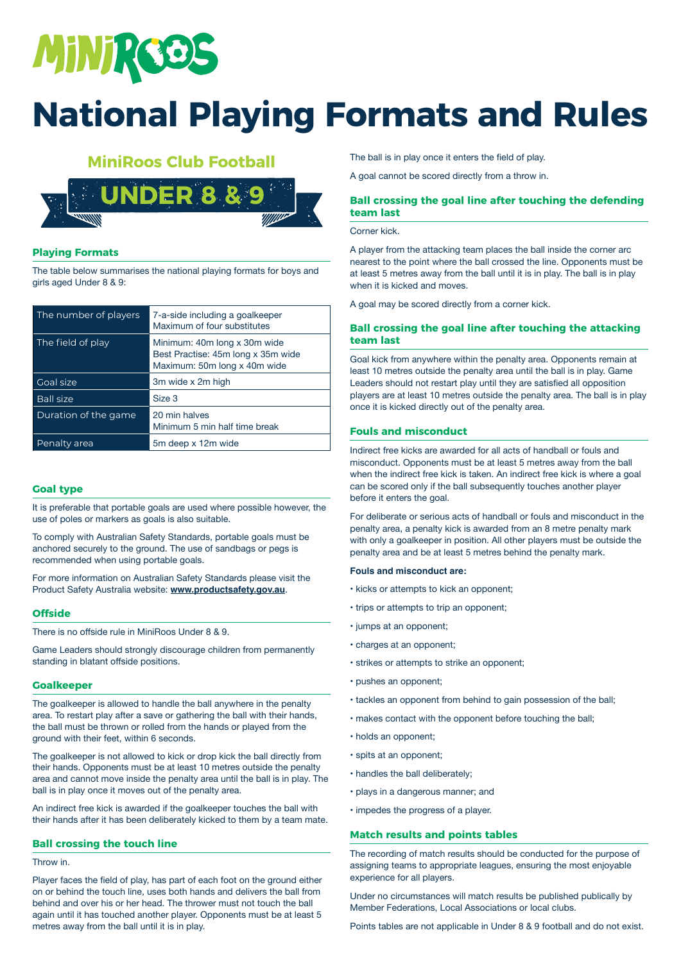# MINIRGOS

## **National Playing Formats and Rules**

#### **MiniRoos Club Football**

![](_page_1_Picture_3.jpeg)

#### **Playing Formats**

The table below summarises the national playing formats for boys and girls aged Under 8 & 9:

| The number of players | 7-a-side including a goalkeeper<br>Maximum of four substitutes                                     |
|-----------------------|----------------------------------------------------------------------------------------------------|
| The field of play     | Minimum: 40m long x 30m wide<br>Best Practise: 45m long x 35m wide<br>Maximum: 50m long x 40m wide |
| Goal size             | 3m wide x 2m high                                                                                  |
| <b>Ball size</b>      | Size 3                                                                                             |
| Duration of the game  | 20 min halves<br>Minimum 5 min half time break                                                     |
| Penalty area          | 5m deep x 12m wide                                                                                 |

#### **Goal type**

It is preferable that portable goals are used where possible however, the use of poles or markers as goals is also suitable.

To comply with Australian Safety Standards, portable goals must be anchored securely to the ground. The use of sandbags or pegs is recommended when using portable goals.

For more information on Australian Safety Standards please visit the Product Safety Australia website: **www.productsafety.gov.au**.

#### **Offside**

There is no offside rule in MiniRoos Under 8 & 9.

Game Leaders should strongly discourage children from permanently standing in blatant offside positions.

#### **Goalkeeper**

The goalkeeper is allowed to handle the ball anywhere in the penalty area. To restart play after a save or gathering the ball with their hands, the ball must be thrown or rolled from the hands or played from the ground with their feet, within 6 seconds.

The goalkeeper is not allowed to kick or drop kick the ball directly from their hands. Opponents must be at least 10 metres outside the penalty area and cannot move inside the penalty area until the ball is in play. The ball is in play once it moves out of the penalty area.

An indirect free kick is awarded if the goalkeeper touches the ball with their hands after it has been deliberately kicked to them by a team mate.

#### **Ball crossing the touch line**

#### Throw in.

Player faces the field of play, has part of each foot on the ground either on or behind the touch line, uses both hands and delivers the ball from behind and over his or her head. The thrower must not touch the ball again until it has touched another player. Opponents must be at least 5 metres away from the ball until it is in play.

The ball is in play once it enters the field of play.

A goal cannot be scored directly from a throw in.

#### **Ball crossing the goal line after touching the defending team last**

Corner kick.

A player from the attacking team places the ball inside the corner arc nearest to the point where the ball crossed the line. Opponents must be at least 5 metres away from the ball until it is in play. The ball is in play when it is kicked and moves.

A goal may be scored directly from a corner kick.

#### **Ball crossing the goal line after touching the attacking team last**

Goal kick from anywhere within the penalty area. Opponents remain at least 10 metres outside the penalty area until the ball is in play. Game Leaders should not restart play until they are satisfied all opposition players are at least 10 metres outside the penalty area. The ball is in play once it is kicked directly out of the penalty area.

#### **Fouls and misconduct**

Indirect free kicks are awarded for all acts of handball or fouls and misconduct. Opponents must be at least 5 metres away from the ball when the indirect free kick is taken. An indirect free kick is where a goal can be scored only if the ball subsequently touches another player before it enters the goal.

For deliberate or serious acts of handball or fouls and misconduct in the penalty area, a penalty kick is awarded from an 8 metre penalty mark with only a goalkeeper in position. All other players must be outside the penalty area and be at least 5 metres behind the penalty mark.

#### **Fouls and misconduct are:**

- kicks or attempts to kick an opponent;
- trips or attempts to trip an opponent;
- jumps at an opponent;
- charges at an opponent;
- strikes or attempts to strike an opponent;
- pushes an opponent;
- tackles an opponent from behind to gain possession of the ball;
- makes contact with the opponent before touching the ball;
- holds an opponent;
- spits at an opponent;
- handles the ball deliberately;
- plays in a dangerous manner; and
- impedes the progress of a player.

#### **Match results and points tables**

The recording of match results should be conducted for the purpose of assigning teams to appropriate leagues, ensuring the most enjoyable experience for all players.

Under no circumstances will match results be published publically by Member Federations, Local Associations or local clubs.

Points tables are not applicable in Under 8 & 9 football and do not exist.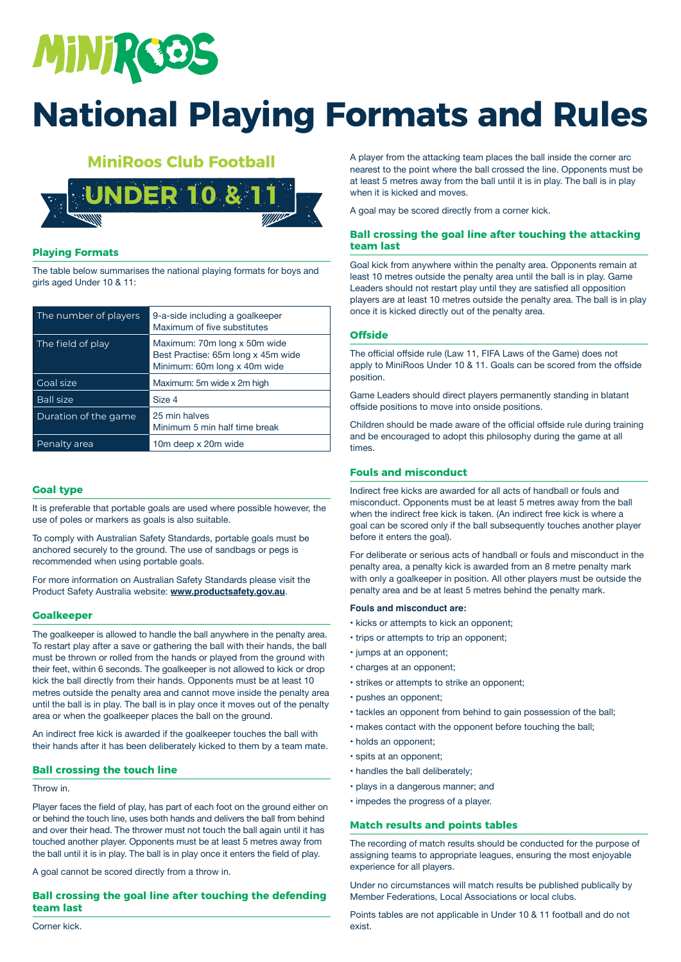![](_page_2_Picture_0.jpeg)

#### **MiniRoos Club Football**

![](_page_2_Picture_3.jpeg)

#### **Playing Formats**

The table below summarises the national playing formats for boys and girls aged Under 10 & 11:

| The number of players | 9-a-side including a goalkeeper<br>Maximum of five substitutes                                     |
|-----------------------|----------------------------------------------------------------------------------------------------|
| The field of play     | Maximum: 70m long x 50m wide<br>Best Practise: 65m long x 45m wide<br>Minimum: 60m long x 40m wide |
| Goal size             | Maximum: 5m wide x 2m high                                                                         |
| <b>Ball size</b>      | Size 4                                                                                             |
| Duration of the game  | 25 min halves<br>Minimum 5 min half time break                                                     |
| Penalty area          | 10m deep x 20m wide                                                                                |

#### **Goal type**

It is preferable that portable goals are used where possible however, the use of poles or markers as goals is also suitable.

To comply with Australian Safety Standards, portable goals must be anchored securely to the ground. The use of sandbags or pegs is recommended when using portable goals.

For more information on Australian Safety Standards please visit the Product Safety Australia website: **www.productsafety.gov.au**.

#### **Goalkeeper**

The goalkeeper is allowed to handle the ball anywhere in the penalty area. To restart play after a save or gathering the ball with their hands, the ball must be thrown or rolled from the hands or played from the ground with their feet, within 6 seconds. The goalkeeper is not allowed to kick or drop kick the ball directly from their hands. Opponents must be at least 10 metres outside the penalty area and cannot move inside the penalty area until the ball is in play. The ball is in play once it moves out of the penalty area or when the goalkeeper places the ball on the ground.

An indirect free kick is awarded if the goalkeeper touches the ball with their hands after it has been deliberately kicked to them by a team mate.

#### **Ball crossing the touch line**

#### Throw in.

Player faces the field of play, has part of each foot on the ground either on or behind the touch line, uses both hands and delivers the ball from behind and over their head. The thrower must not touch the ball again until it has touched another player. Opponents must be at least 5 metres away from the ball until it is in play. The ball is in play once it enters the field of play.

A goal cannot be scored directly from a throw in.

#### **Ball crossing the goal line after touching the defending team last**

Corner kick.

A player from the attacking team places the ball inside the corner arc nearest to the point where the ball crossed the line. Opponents must be at least 5 metres away from the ball until it is in play. The ball is in play when it is kicked and moves.

A goal may be scored directly from a corner kick.

#### **Ball crossing the goal line after touching the attacking team last**

Goal kick from anywhere within the penalty area. Opponents remain at least 10 metres outside the penalty area until the ball is in play. Game Leaders should not restart play until they are satisfied all opposition players are at least 10 metres outside the penalty area. The ball is in play once it is kicked directly out of the penalty area.

#### **Offside**

The official offside rule (Law 11, FIFA Laws of the Game) does not apply to MiniRoos Under 10 & 11. Goals can be scored from the offside position.

Game Leaders should direct players permanently standing in blatant offside positions to move into onside positions.

Children should be made aware of the official offside rule during training and be encouraged to adopt this philosophy during the game at all times.

#### **Fouls and misconduct**

Indirect free kicks are awarded for all acts of handball or fouls and misconduct. Opponents must be at least 5 metres away from the ball when the indirect free kick is taken. (An indirect free kick is where a goal can be scored only if the ball subsequently touches another player before it enters the goal).

For deliberate or serious acts of handball or fouls and misconduct in the penalty area, a penalty kick is awarded from an 8 metre penalty mark with only a goalkeeper in position. All other players must be outside the penalty area and be at least 5 metres behind the penalty mark.

#### **Fouls and misconduct are:**

- kicks or attempts to kick an opponent;
- trips or attempts to trip an opponent;
- jumps at an opponent;
- charges at an opponent;
- strikes or attempts to strike an opponent;
- pushes an opponent;
- tackles an opponent from behind to gain possession of the ball;
- makes contact with the opponent before touching the ball;
- holds an opponent;
- spits at an opponent;
- handles the ball deliberately;
- plays in a dangerous manner; and
- impedes the progress of a player.

#### **Match results and points tables**

The recording of match results should be conducted for the purpose of assigning teams to appropriate leagues, ensuring the most enjoyable experience for all players.

Under no circumstances will match results be published publically by Member Federations, Local Associations or local clubs.

Points tables are not applicable in Under 10 & 11 football and do not exist.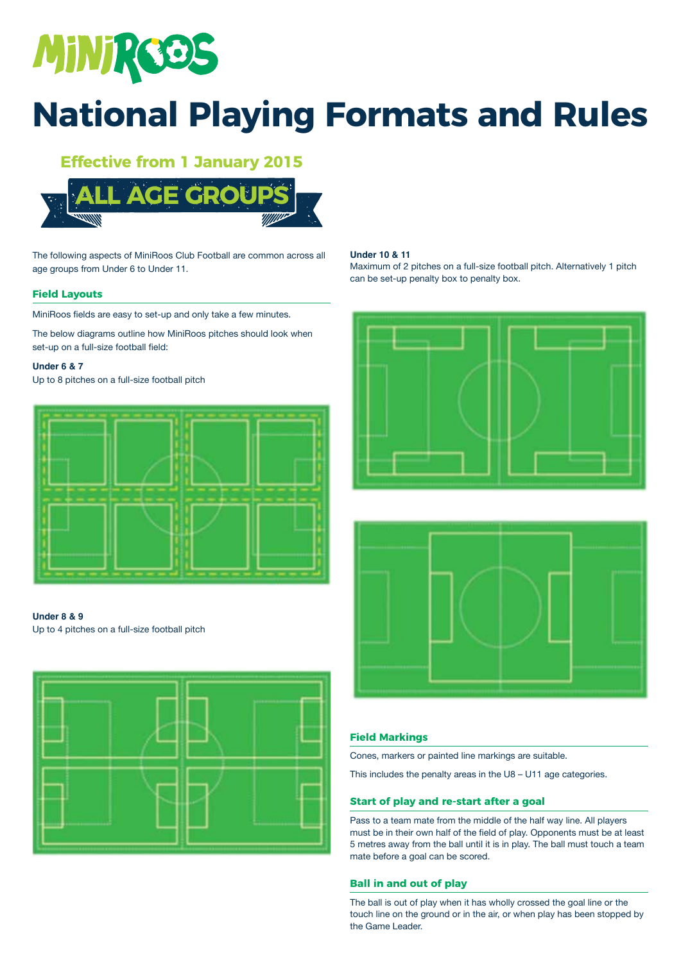![](_page_3_Picture_0.jpeg)

### **Effective from 1 January 2015**

![](_page_3_Picture_3.jpeg)

The following aspects of MiniRoos Club Football are common across all age groups from Under 6 to Under 11.

#### **Field Layouts**

MiniRoos fields are easy to set-up and only take a few minutes.

The below diagrams outline how MiniRoos pitches should look when set-up on a full-size football field:

#### **Under 6 & 7**

Up to 8 pitches on a full-size football pitch

![](_page_3_Figure_10.jpeg)

#### **Under 8 & 9**

Up to 4 pitches on a full-size football pitch

![](_page_3_Figure_13.jpeg)

#### **Under 10 & 11**

Maximum of 2 pitches on a full-size football pitch. Alternatively 1 pitch can be set-up penalty box to penalty box.

![](_page_3_Figure_16.jpeg)

![](_page_3_Figure_17.jpeg)

#### **Field Markings**

Cones, markers or painted line markings are suitable.

This includes the penalty areas in the U8 – U11 age categories.

#### **Start of play and re-start after a goal**

Pass to a team mate from the middle of the half way line. All players must be in their own half of the field of play. Opponents must be at least 5 metres away from the ball until it is in play. The ball must touch a team mate before a goal can be scored.

#### **Ball in and out of play**

The ball is out of play when it has wholly crossed the goal line or the touch line on the ground or in the air, or when play has been stopped by the Game Leader.